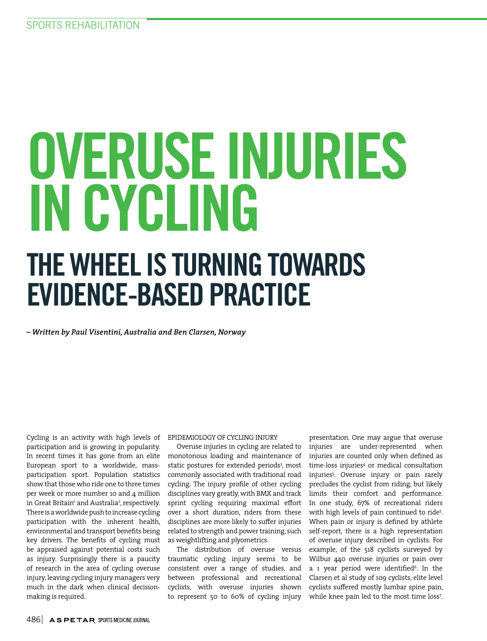# OVERUSE INJURIES IN CYCLING THE WHEEL IS TURNING TOWARDS EVIDENCE-BASED PRACTICE

*– Written by Paul Visentini, Australia and Ben Clarsen, Norway*

Cycling is an activity with high levels of participation and is growing in popularity. In recent times it has gone from an elite European sport to a worldwide, massparticipation sport. Population statistics show that those who ride one to three times per week or more number 10 and 4 million in Great Britain<sup>1</sup> and Australia<sup>2</sup>, respectively. There is a worldwide push to increase cycling participation with the inherent health, environmental and transport benefits being key drivers. The benefits of cycling must be appraised against potential costs such as injury. Surprisingly there is a paucity of research in the area of cycling overuse injury, leaving cycling injury managers very much in the dark when clinical decisionmaking is required.

#### EPIDEMIOLOGY OF CYCLING INJURY

Overuse injuries in cycling are related to monotonous loading and maintenance of static postures for extended periods<sup>3</sup>, most commonly associated with traditional road cycling. The injury profile of other cycling disciplines vary greatly, with BMX and track sprint cycling requiring maximal effort over a short duration, riders from these disciplines are more likely to suffer injuries related to strength and power training, such as weightlifting and plyometrics.

The distribution of overuse versus traumatic cycling injury seems to be consistent over a range of studies, and between professional and recreational cyclists, with overuse injuries shown to represent 50 to 60% of cycling injury

presentation. One may argue that overuse injuries are under-represented when injuries are counted only when defined as time-loss injuries4 or medical consultation injuries5 . Overuse injury or pain rarely precludes the cyclist from riding, but likely limits their comfort and performance. In one study, 67% of recreational riders with high levels of pain continued to ride<sup>5</sup>. When pain or injury is defined by athlete self-report, there is a high representation of overuse injury described in cyclists. For example, of the 518 cyclists surveyed by Wilbur 440 overuse injuries or pain over a 1 year period were identified<sup>6</sup>. In the Clarsen et al study of 109 cyclists, elite level cyclists suffered mostly lumbar spine pain, while knee pain led to the most time loss7 .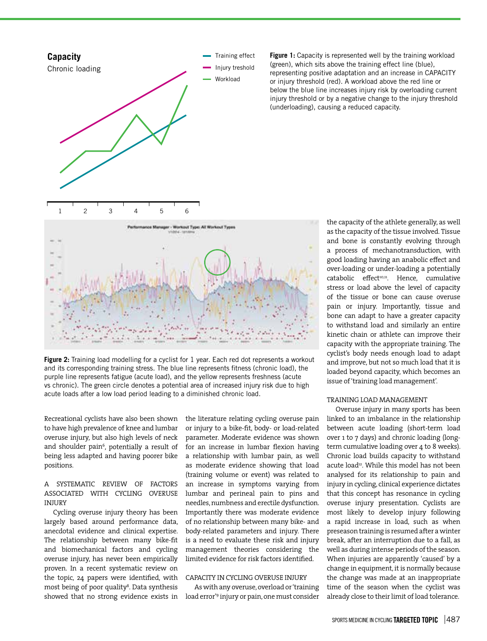

**Figure 1:** Capacity is represented well by the training workload (green), which sits above the training effect line (blue), representing positive adaptation and an increase in CAPACITY or injury threshold (red). A workload above the red line or below the blue line increases injury risk by overloading current injury threshold or by a negative change to the injury threshold (underloading), causing a reduced capacity.

**Figure 2:** Training load modelling for a cyclist for 1 year. Each red dot represents a workout and its corresponding training stress. The blue line represents fitness (chronic load), the purple line represents fatigue (acute load), and the yellow represents freshness (acute vs chronic). The green circle denotes a potential area of increased injury risk due to high acute loads after a low load period leading to a diminished chronic load.

Recreational cyclists have also been shown to have high prevalence of knee and lumbar overuse injury, but also high levels of neck and shoulder pain<sup>6</sup>, potentially a result of being less adapted and having poorer bike positions.

#### A SYSTEMATIC REVIEW OF FACTORS ASSOCIATED WITH CYCLING OVERUSE **INJURY**

Cycling overuse injury theory has been largely based around performance data, anecdotal evidence and clinical expertise. The relationship between many bike-fit and biomechanical factors and cycling overuse injury, has never been empirically proven. In a recent systematic review on the topic, 24 papers were identified, with most being of poor quality<sup>s</sup>. Data synthesis showed that no strong evidence exists in the literature relating cycling overuse pain or injury to a bike-fit, body- or load-related parameter. Moderate evidence was shown for an increase in lumbar flexion having a relationship with lumbar pain, as well as moderate evidence showing that load (training volume or event) was related to an increase in symptoms varying from lumbar and perineal pain to pins and needles, numbness and erectile dysfunction. Importantly there was moderate evidence of no relationship between many bike- and body-related parameters and injury. There is a need to evaluate these risk and injury management theories considering the limited evidence for risk factors identified.

#### CAPACITY IN CYCLING OVERUSE INJURY

As with any overuse, overload or 'training load error'9 injury or pain, one must consider

the capacity of the athlete generally, as well as the capacity of the tissue involved. Tissue and bone is constantly evolving through a process of mechanotransduction, with good loading having an anabolic effect and over-loading or under-loading a potentially catabolic effect<sup>10,11</sup>. Hence, cumulative stress or load above the level of capacity of the tissue or bone can cause overuse pain or injury. Importantly, tissue and bone can adapt to have a greater capacity to withstand load and similarly an entire kinetic chain or athlete can improve their capacity with the appropriate training. The cyclist's body needs enough load to adapt and improve, but not so much load that it is loaded beyond capacity, which becomes an issue of 'training load management'.

#### TRAINING LOAD MANAGEMENT

Overuse injury in many sports has been linked to an imbalance in the relationship between acute loading (short-term load over 1 to 7 days) and chronic loading (longterm cumulative loading over 4 to 8 weeks). Chronic load builds capacity to withstand acute load<sup>12</sup>. While this model has not been analysed for its relationship to pain and injury in cycling, clinical experience dictates that this concept has resonance in cycling overuse injury presentation. Cyclists are most likely to develop injury following a rapid increase in load, such as when preseason training is resumed after a winter break, after an interruption due to a fall, as well as during intense periods of the season. When injuries are apparently 'caused' by a change in equipment, it is normally because the change was made at an inappropriate time of the season when the cyclist was already close to their limit of load tolerance.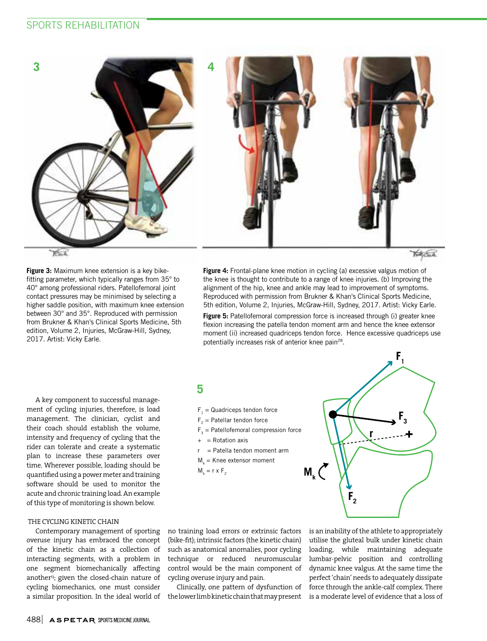# SPORTS REHABILITATION



Katt Each

**Figure 3:** Maximum knee extension is a key bikefitting parameter, which typically ranges from 35° to 40° among professional riders. Patellofemoral joint contact pressures may be minimised by selecting a higher saddle position, with maximum knee extension between 30° and 35°. Reproduced with permission from Brukner & Khan's Clinical Sports Medicine, 5th edition, Volume 2, Injuries, McGraw-Hill, Sydney, 2017. Artist: Vicky Earle.

**Figure 4:** Frontal-plane knee motion in cycling (a) excessive valgus motion of the knee is thought to contribute to a range of knee injuries. (b) Improving the alignment of the hip, knee and ankle may lead to improvement of symptoms. Reproduced with permission from Brukner & Khan's Clinical Sports Medicine, 5th edition, Volume 2, Injuries, McGraw-Hill, Sydney, 2017. Artist: Vicky Earle.

**Figure 5:** Patellofemoral compression force is increased through (i) greater knee flexion increasing the patella tendon moment arm and hence the knee extensor moment (ii) increased quadriceps tendon force. Hence excessive quadriceps use potentially increases risk of anterior knee pain<sup>28</sup>.

A key component to successful management of cycling injuries, therefore, is load management. The clinician, cyclist and their coach should establish the volume, intensity and frequency of cycling that the rider can tolerate and create a systematic plan to increase these parameters over time. Wherever possible, loading should be quantified using a power meter and training software should be used to monitor the acute and chronic training load. An example of this type of monitoring is shown below.

#### THE CYCLING KINETIC CHAIN

Contemporary management of sporting overuse injury has embraced the concept of the kinetic chain as a collection of interacting segments, with a problem in one segment biomechanically affecting another<sup>13</sup>; given the closed-chain nature of cycling biomechanics, one must consider a similar proposition. In the ideal world of

# **5**

- $F_1$  = Quadriceps tendon force
- $F<sub>2</sub>$  = Patellar tendon force
- $F_3$  = Patellofemoral compression force
- $+$  = Rotation axis
- r = Patella tendon moment arm
- $M_k$  = Knee extensor moment
- $M_k = r \times F_2$



no training load errors or extrinsic factors (bike-fit); intrinsic factors (the kinetic chain) such as anatomical anomalies, poor cycling technique or reduced neuromuscular control would be the main component of cycling overuse injury and pain.

Clinically, one pattern of dysfunction of the lower limb kinetic chain that may present is an inability of the athlete to appropriately utilise the gluteal bulk under kinetic chain loading, while maintaining adequate lumbar-pelvic position and controlling dynamic knee valgus. At the same time the perfect 'chain' needs to adequately dissipate force through the ankle-calf complex. There is a moderate level of evidence that a loss of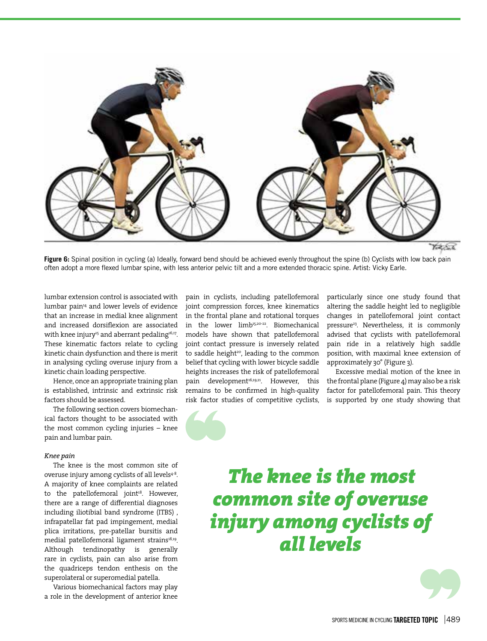

Yok Sale

**Figure 6:** Spinal position in cycling (a) Ideally, forward bend should be achieved evenly throughout the spine (b) Cyclists with low back pain often adopt a more flexed lumbar spine, with less anterior pelvic tilt and a more extended thoracic spine. Artist: Vicky Earle.

lumbar extension control is associated with lumbar pain<sup>14</sup> and lower levels of evidence that an increase in medial knee alignment and increased dorsiflexion are associated with knee injury<sup>15</sup> and aberrant pedaling<sup>16,17</sup>. These kinematic factors relate to cycling kinetic chain dysfunction and there is merit in analysing cycling overuse injury from a kinetic chain loading perspective.

Hence, once an appropriate training plan is established, intrinsic and extrinsic risk factors should be assessed.

The following section covers biomechanical factors thought to be associated with the most common cycling injuries – knee pain and lumbar pain.

#### *Knee pain*

The knee is the most common site of overuse injury among cyclists of all levels<sup>4-8</sup>. A majority of knee complaints are related to the patellofemoral joint<sup>18</sup>. However, there are a range of differential diagnoses including iliotibial band syndrome (ITBS) , infrapatellar fat pad impingement, medial plica irritations, pre-patellar bursitis and medial patellofemoral ligament strains<sup>18,19</sup>. Although tendinopathy is generally rare in cyclists, pain can also arise from the quadriceps tendon enthesis on the superolateral or superomedial patella.

Various biomechanical factors may play a role in the development of anterior knee

pain in cyclists, including patellofemoral joint compression forces, knee kinematics in the frontal plane and rotational torques in the lower limb<sup>15,20-22</sup>. Biomechanical models have shown that patellofemoral joint contact pressure is inversely related to saddle height<sup>20</sup>, leading to the common belief that cycling with lower bicycle saddle heights increases the risk of patellofemoral pain development<sup>16,19,21</sup>. However, this remains to be confirmed in high-quality risk factor studies of competitive cyclists,

particularly since one study found that altering the saddle height led to negligible changes in patellofemoral joint contact pressure<sup>23</sup>. Nevertheless, it is commonly advised that cyclists with patellofemoral pain ride in a relatively high saddle position, with maximal knee extension of approximately 30° (Figure 3).

Excessive medial motion of the knee in the frontal plane (Figure 4) may also be a risk factor for patellofemoral pain. This theory is supported by one study showing that

# *The knee is the most common site of overuse injury among cyclists of all levels*

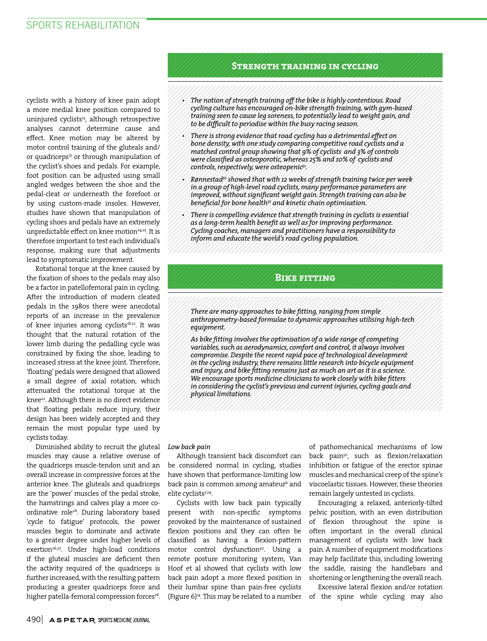cyclists with a history of knee pain adopt a more medial knee position compared to uninjured cyclists<sup>15</sup>, although retrospective analyses cannot determine cause and effect. Knee motion may be altered by motor control training of the gluteals and/ or quadriceps<sup>13</sup> or through manipulation of the cyclist's shoes and pedals. For example, foot position can be adjusted using small angled wedges between the shoe and the pedal-cleat or underneath the forefoot or by using custom-made insoles. However, studies have shown that manipulation of cycling shoes and pedals have an extremely unpredictable effect on knee motion<sup>24,25</sup>. It is therefore important to test each individual's response, making sure that adjustments lead to symptomatic improvement.

Rotational torque at the knee caused by the fixation of shoes to the pedals may also be a factor in patellofemoral pain in cycling. After the introduction of modern cleated pedals in the 1980s there were anecdotal reports of an increase in the prevalence of knee injuries among cyclists<sup>18,22</sup>. It was thought that the natural rotation of the lower limb during the pedalling cycle was constrained by fixing the shoe, leading to increased stress at the knee joint. Therefore, 'floating' pedals were designed that allowed a small degree of axial rotation, which attenuated the rotational torque at the knee<sup>22</sup>. Although there is no direct evidence that floating pedals reduce injury, their design has been widely accepted and they remain the most popular type used by cyclists today.

Diminished ability to recruit the gluteal muscles may cause a relative overuse of the quadriceps muscle-tendon unit and an overall increase in compressive forces at the anterior knee. The gluteals and quadriceps are the 'power' muscles of the pedal stroke, the hamstrings and calves play a more coordinative role<sup>26</sup>. During laboratory based 'cycle to fatigue' protocols, the power muscles begin to dominate and activate to a greater degree under higher levels of exertion<sup>26,27</sup>. Under high-load conditions if the gluteal muscles are deficient then the activity required of the quadriceps is further increased, with the resulting pattern producing a greater quadriceps force and higher patella-femoral compression forces<sup>28</sup>.

### **Strength training in cycling**

- *The notion of strength training off the bike is highly contentious. Road cycling culture has encouraged on-bike strength training, with gym-based training seen to cause leg soreness, to potentially lead to weight gain, and to be difficult to periodise within the busy racing season.*
- *There is strong evidence that road cycling has a detrimental effect on bone density, with one study comparing competitive road cyclists and a matched control group showing that 9% of cyclists and 3% of controls were classified as osteoporotic, whereas 25% and 10% of cyclists and controls, respectively, were osteopenic31.*
- *Rønnestad32 showed that with 12 weeks of strength training twice per week in a group of high-level road cyclists, many performance parameters are improved, without significant weight gain. Strength training can also be beneficial for bone health33 and kinetic chain optimisation.*
- *There is compelling evidence that strength training in cyclists is essential as a long-term health benefit as well as for improving performance. Cycling coaches, managers and practitioners have a responsibility to inform and educate the world's road cycling population.*

## **Bike fitting**

*There are many approaches to bike fitting, ranging from simple anthropometry-based formulae to dynamic approaches utilising high-tech equipment.*

*As bike fitting involves the optimisation of a wide range of competing variables, such as aerodynamics, comfort and control, it always involves compromise. Despite the recent rapid pace of technological development in the cycling industry, there remains little research into bicycle equipment and injury, and bike fitting remains just as much an art as it is a science. We encourage sports medicine clinicians to work closely with bike fitters in considering the cyclist's previous and current injuries, cycling goals and physical limitations.*

#### *Low back pain*

Although transient back discomfort can be considered normal in cycling, studies have shown that performance-limiting low back pain is common among amateur $^{\rm 6}$  and elite cyclists<sup>7,29</sup>.

Cyclists with low back pain typically present with non-specific symptoms provoked by the maintenance of sustained flexion positions and they can often be classified as having a flexion-pattern motor control dysfunction<sup>30</sup>. Using a remote posture monitoring system, Van Hoof et al showed that cyclists with low back pain adopt a more flexed position in their lumbar spine than pain-free cyclists (Figure  $6)^{14}$ . This may be related to a number of pathomechanical mechanisms of low back pain<sup>30</sup>, such as flexion/relaxation inhibition or fatigue of the erector spinae muscles and mechanical creep of the spine's viscoelastic tissues. However, these theories remain largely untested in cyclists.

Encouraging a relaxed, anteriorly-tilted pelvic position, with an even distribution of flexion throughout the spine is often important in the overall clinical management of cyclists with low back pain. A number of equipment modifications may help facilitate this, including lowering the saddle, raising the handlebars and shortening or lengthening the overall reach.

Excessive lateral flexion and/or rotation of the spine while cycling may also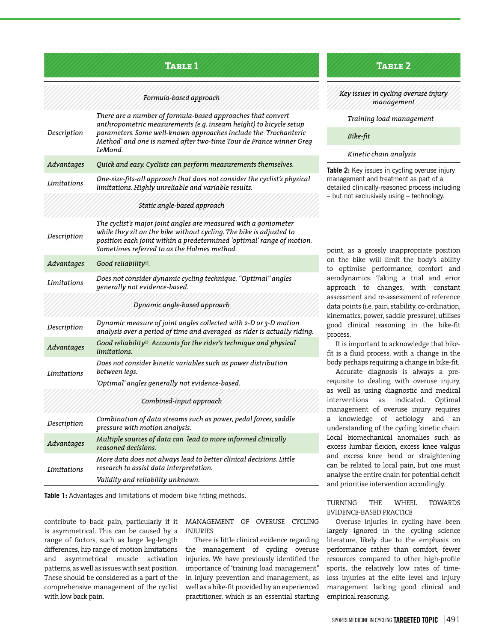# **Table 1 Table 2**

#### *Formula-based approach*

| Description                  | There are a number of formula-based approaches that convert<br>anthropometric measurements (e.g. inseam height) to bicycle setup<br>parameters. Some well-known approaches include the 'Trochanteric<br>Method' and one is named after two-time Tour de France winner Greg<br>LeMond. |
|------------------------------|---------------------------------------------------------------------------------------------------------------------------------------------------------------------------------------------------------------------------------------------------------------------------------------|
| Advantages                   | Quick and easy. Cyclists can perform measurements themselves.                                                                                                                                                                                                                         |
| Limitations                  | One-size-fits-all approach that does not consider the cyclist's physical<br>limitations. Highly unreliable and variable results.                                                                                                                                                      |
|                              | Static angle-based approach                                                                                                                                                                                                                                                           |
| Description                  | The cyclist's major joint angles are measured with a goniometer<br>while they sit on the bike without cycling. The bike is adjusted to<br>position each joint within a predetermined 'optimal' range of motion.<br>Sometimes referred to as the Holmes method.                        |
| Advantages                   | Good reliability <sup>33</sup> .                                                                                                                                                                                                                                                      |
| Limitations                  | Does not consider dynamic cycling technique. "Optimal" angles<br>generally not evidence-based.                                                                                                                                                                                        |
| Dynamic angle-based approach |                                                                                                                                                                                                                                                                                       |
| Description                  | Dynamic measure of joint angles collected with 2-D or 3-D motion<br>analysis over a period of time and averaged as rider is actually riding.                                                                                                                                          |
| Advantages                   | Good reliability <sup>33</sup> . Accounts for the rider's technique and physical<br>limitations.                                                                                                                                                                                      |
| Limitations                  | Does not consider kinetic variables such as power distribution<br>between legs.                                                                                                                                                                                                       |
|                              | 'Optimal' angles generally not evidence-based.                                                                                                                                                                                                                                        |
|                              | Combined-input approach                                                                                                                                                                                                                                                               |
| Description                  | Combination of data streams such as power, pedal forces, saddle<br>pressure with motion analysis.                                                                                                                                                                                     |
| Advantages                   | Multiple sources of data can lead to more informed clinically<br>reasoned decisions.                                                                                                                                                                                                  |
| Limitations                  | More data does not always lead to better clinical decisions. Little<br>research to assist data interpretation.                                                                                                                                                                        |
|                              | Validity and reliability unknown.                                                                                                                                                                                                                                                     |

**Table 1:** Advantages and limitations of modern bike fitting methods.

contribute to back pain, particularly if it is asymmetrical. This can be caused by a range of factors, such as large leg-length differences, hip range of motion limitations and asymmetrical muscle activation patterns, as well as issues with seat position. These should be considered as a part of the comprehensive management of the cyclist with low back pain.

MANAGEMENT OF OVERUSE CYCLING INJURIES

There is little clinical evidence regarding the management of cycling overuse injuries. We have previously identified the importance of 'training load management" in injury prevention and management, as well as a bike-fit provided by an experienced practitioner, which is an essential starting

#### *Key issues in cycling overuse injury management*

#### *Training load management*

#### *Bike-fit*

#### *Kinetic chain analysis*

**Table 2:** Key issues in cycling overuse injury management and treatment as part of a detailed clinically-reasoned process including – but not exclusively using – technology.

point, as a grossly inappropriate position on the bike will limit the body's ability to optimise performance, comfort and aerodynamics. Taking a trial and error approach to changes, with constant assessment and re-assessment of reference data points (i.e. pain, stability, co-ordination, kinematics, power, saddle pressure), utilises good clinical reasoning in the bike-fit process.

It is important to acknowledge that bikefit is a fluid process, with a change in the body perhaps requiring a change in bike-fit.

Accurate diagnosis is always a prerequisite to dealing with overuse injury, as well as using diagnostic and medical interventions as indicated. Optimal management of overuse injury requires a knowledge of aetiology and an understanding of the cycling kinetic chain. Local biomechanical anomalies such as excess lumbar flexion, excess knee valgus and excess knee bend or straightening can be related to local pain, but one must analyse the entire chain for potential deficit and prioritise intervention accordingly.

#### TURNING THE WHEEL TOWARDS EVIDENCE-BASED PRACTICE

Overuse injuries in cycling have been largely ignored in the cycling science literature, likely due to the emphasis on performance rather than comfort, fewer resources compared to other high-profile sports, the relatively low rates of timeloss injuries at the elite level and injury management lacking good clinical and empirical reasoning.